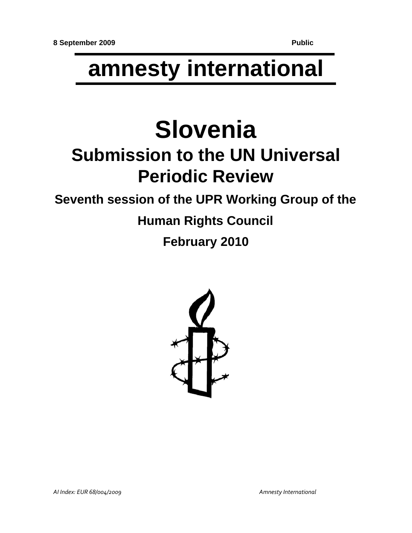# **amnesty international**

# **Slovenia**

## **Submission to the UN Universal Periodic Review**

## **Seventh session of the UPR Working Group of the**

## **Human Rights Council**

**February 2010**

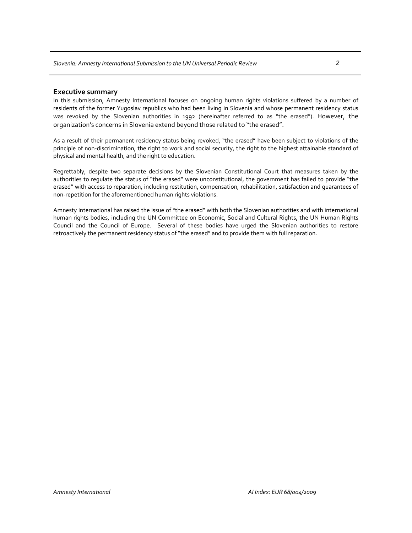#### **Executive summary**

In this submission, Amnesty International focuses on ongoing human rights violations suffered by a number of residents of the former Yugoslav republics who had been living in Slovenia and whose permanent residency status was revoked by the Slovenian authorities in 1992 (hereinafter referred to as "the erased"). However, the organization's concerns in Slovenia extend beyond those related to "the erased".

As a result of their permanent residency status being revoked, "the erased" have been subject to violations of the principle of non-discrimination, the right to work and social security, the right to the highest attainable standard of physical and mental health, and the right to education.

Regrettably, despite two separate decisions by the Slovenian Constitutional Court that measures taken by the authorities to regulate the status of "the erased" were unconstitutional, the government has failed to provide "the erased" with access to reparation, including restitution, compensation, rehabilitation, satisfaction and guarantees of non‐repetition for the aforementioned human rights violations.

Amnesty International has raised the issue of "the erased" with both the Slovenian authorities and with international human rights bodies, including the UN Committee on Economic, Social and Cultural Rights, the UN Human Rights Council and the Council of Europe. Several of these bodies have urged the Slovenian authorities to restore retroactively the permanent residency status of "the erased" and to provide them with full reparation.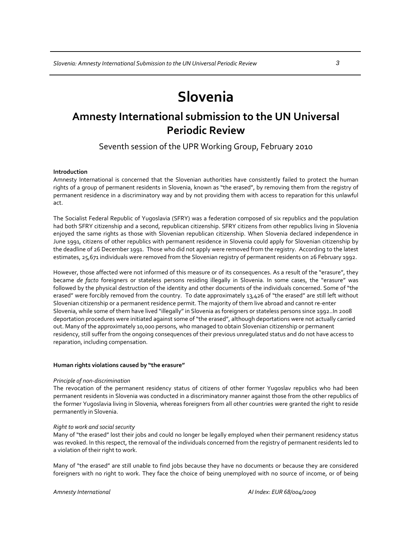## **Slovenia**

### **Amnesty International submission to the UN Universal Periodic Review**

Seventh session of the UPR Working Group, February 2010

#### **Introduction**

Amnesty International is concerned that the Slovenian authorities have consistently failed to protect the human rights of a group of permanent residents in Slovenia, known as "the erased", by removing them from the registry of permanent residence in a discriminatory way and by not providing them with access to reparation for this unlawful act.

The Socialist Federal Republic of Yugoslavia (SFRY) was a federation composed of six republics and the population had both SFRY citizenship and a second, republican citizenship. SFRY citizens from other republics living in Slovenia enjoyed the same rights as those with Slovenian republican citizenship. When Slovenia declared independence in June 1991, citizens of other republics with permanent residence in Slovenia could apply for Slovenian citizenship by the deadline of 26 December 1991. Those who did not apply were removed from the registry. According to the latest estimates, 25,671 individuals were removed from the Slovenian registry of permanent residents on 26 February 1992.

However, those affected were not informed of this measure or of its consequences. As a result of the "erasure", they became *de facto* foreigners or stateless persons residing illegally in Slovenia. In some cases, the "erasure" was followed by the physical destruction of the identity and other documents of the individuals concerned. Some of "the erased" were forcibly removed from the country. To date approximately 13,426 of "the erased" are still left without Slovenian citizenship or a permanent residence permit. The majority of them live abroad and cannot re‐enter Slovenia, while some of them have lived "illegally" in Slovenia as foreigners or stateless persons since 1992..In 2008 deportation procedures were initiated against some of "the erased", although deportations were not actually carried out. Many of the approximately 10,000 persons, who managed to obtain Slovenian citizenship or permanent residency, still suffer from the ongoing consequences of their previous unregulated status and do not have access to reparation, including compensation.

#### **Human rights violations caused by "the erasure"**

#### *Principle of non‐discrimination*

The revocation of the permanent residency status of citizens of other former Yugoslav republics who had been permanent residents in Slovenia was conducted in a discriminatory manner against those from the other republics of the former Yugoslavia living in Slovenia, whereas foreigners from all other countries were granted the right to reside permanently in Slovenia.

#### *Right to work and social security*

Many of "the erased" lost their jobs and could no longer be legally employed when their permanent residency status was revoked. In this respect, the removal of the individuals concerned from the registry of permanent residents led to a violation of their right to work.

Many of "the erased" are still unable to find jobs because they have no documents or because they are considered foreigners with no right to work. They face the choice of being unemployed with no source of income, or of being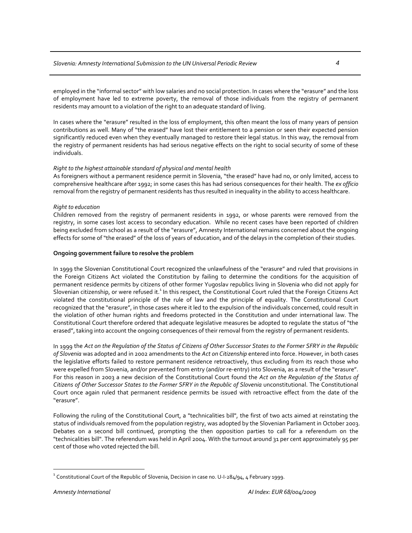employed in the "informal sector" with low salaries and no social protection. In cases where the "erasure" and the loss of employment have led to extreme poverty, the removal of those individuals from the registry of permanent residents may amount to a violation of the right to an adequate standard of living.

In cases where the "erasure" resulted in the loss of employment, this often meant the loss of many years of pension contributions as well. Many of "the erased" have lost their entitlement to a pension or seen their expected pension significantly reduced even when they eventually managed to restore their legal status. In this way, the removal from the registry of permanent residents has had serious negative effects on the right to social security of some of these individuals.

#### *Right to the highest attainable standard of physical and mental health*

As foreigners without a permanent residence permit in Slovenia, "the erased" have had no, or only limited, access to comprehensive healthcare after 1992; in some cases this has had serious consequences for their health. The *ex officio* removal from the registry of permanent residents has thus resulted in inequality in the ability to access healthcare.

#### *Right to education*

Children removed from the registry of permanent residents in 1992, or whose parents were removed from the registry, in some cases lost access to secondary education. While no recent cases have been reported of children being excluded from school as a result of the "erasure", Amnesty International remains concerned about the ongoing effects for some of "the erased" of the loss of years of education, and of the delays in the completion of their studies.

#### **Ongoing government failure to resolve the problem**

In 1999 the Slovenian Constitutional Court recognized the unlawfulness of the "erasure" and ruled that provisions in the Foreign Citizens Act violated the Constitution by failing to determine the conditions for the acquisition of permanent residence permits by citizens of other former Yugoslav republics living in Slovenia who did not apply for Slovenian citizenship, or were refused it.<sup>1</sup> In this respect, the Constitutional Court ruled that the Foreign Citizens Act violated the constitutional principle of the rule of law and the principle of equality. The Constitutional Court recognized that the "erasure", in those cases where it led to the expulsion of the individuals concerned, could result in the violation of other human rights and freedoms protected in the Constitution and under international law. The Constitutional Court therefore ordered that adequate legislative measures be adopted to regulate the status of "the erased", taking into account the ongoing consequences of their removal from the registry of permanent residents.

In 1999 the Act on the Regulation of the Status of Citizens of Other Successor States to the Former SFRY in the Republic *of Slovenia* was adopted and in 2002 amendments to the *Act on Citizenship* entered into force. However, in both cases the legislative efforts failed to restore permanent residence retroactively, thus excluding from its reach those who were expelled from Slovenia, and/or prevented from entry (and/or re-entry) into Slovenia, as a result of the "erasure". For this reason in 2003 a new decision of the Constitutional Court found the *Act on the Regulation of the Status of Citizens of Other Successor States to the Former SFRY in the Republic of Slovenia* unconstitutional. The Constitutional Court once again ruled that permanent residence permits be issued with retroactive effect from the date of the "erasure".

Following the ruling of the Constitutional Court, a "technicalities bill", the first of two acts aimed at reinstating the status of individuals removed from the population registry, was adopted by the Slovenian Parliament in October 2003. Debates on a second bill continued, prompting the then opposition parties to call for a referendum on the "technicalities bill". The referendum was held in April 2004. With the turnout around 31 per cent approximately 95 per cent of those who voted rejected the bill.

 $\overline{a}$ 

 $^{\rm 1}$  Constitutional Court of the Republic of Slovenia, Decision in case no. U-I-284/94, 4 February 1999.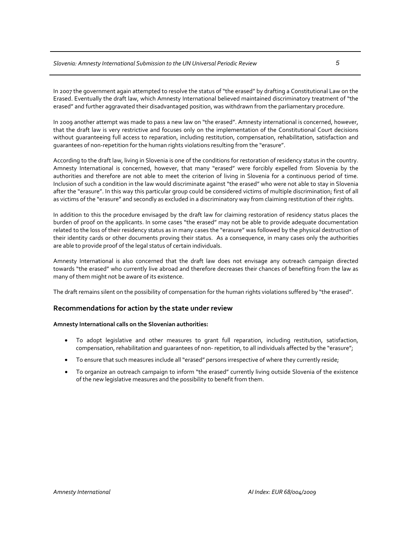In 2007 the government again attempted to resolve the status of "the erased" by drafting a Constitutional Law on the Erased. Eventually the draft law, which Amnesty International believed maintained discriminatory treatment of "the erased" and further aggravated their disadvantaged position, was withdrawn from the parliamentary procedure.

In 2009 another attempt was made to pass a new law on "the erased". Amnesty international is concerned, however, that the draft law is very restrictive and focuses only on the implementation of the Constitutional Court decisions without guaranteeing full access to reparation, including restitution, compensation, rehabilitation, satisfaction and guarantees of non‐repetition for the human rights violations resulting from the "erasure".

According to the draft law, living in Slovenia is one of the conditions for restoration of residency status in the country. Amnesty International is concerned, however, that many "erased" were forcibly expelled from Slovenia by the authorities and therefore are not able to meet the criterion of living in Slovenia for a continuous period of time. Inclusion of such a condition in the law would discriminate against "the erased" who were not able to stay in Slovenia after the "erasure". In this way this particular group could be considered victims of multiple discrimination; first of all as victims of the "erasure" and secondly as excluded in a discriminatory way from claiming restitution of their rights.

In addition to this the procedure envisaged by the draft law for claiming restoration of residency status places the burden of proof on the applicants. In some cases "the erased" may not be able to provide adequate documentation related to the loss of their residency status as in many cases the "erasure" was followed by the physical destruction of their identity cards or other documents proving their status. As a consequence, in many cases only the authorities are able to provide proof of the legal status of certain individuals.

Amnesty International is also concerned that the draft law does not envisage any outreach campaign directed towards "the erased" who currently live abroad and therefore decreases their chances of benefiting from the law as many of them might not be aware of its existence.

The draft remains silent on the possibility of compensation for the human rights violations suffered by "the erased".

#### **Recommendations for action by the state under review**

#### **Amnesty International calls on the Slovenian authorities:**

- To adopt legislative and other measures to grant full reparation, including restitution, satisfaction, compensation, rehabilitation and guarantees of non- repetition, to all individuals affected by the "erasure";
- To ensure that such measures include all "erased" persons irrespective of where they currently reside;
- To organize an outreach campaign to inform "the erased" currently living outside Slovenia of the existence of the new legislative measures and the possibility to benefit from them.